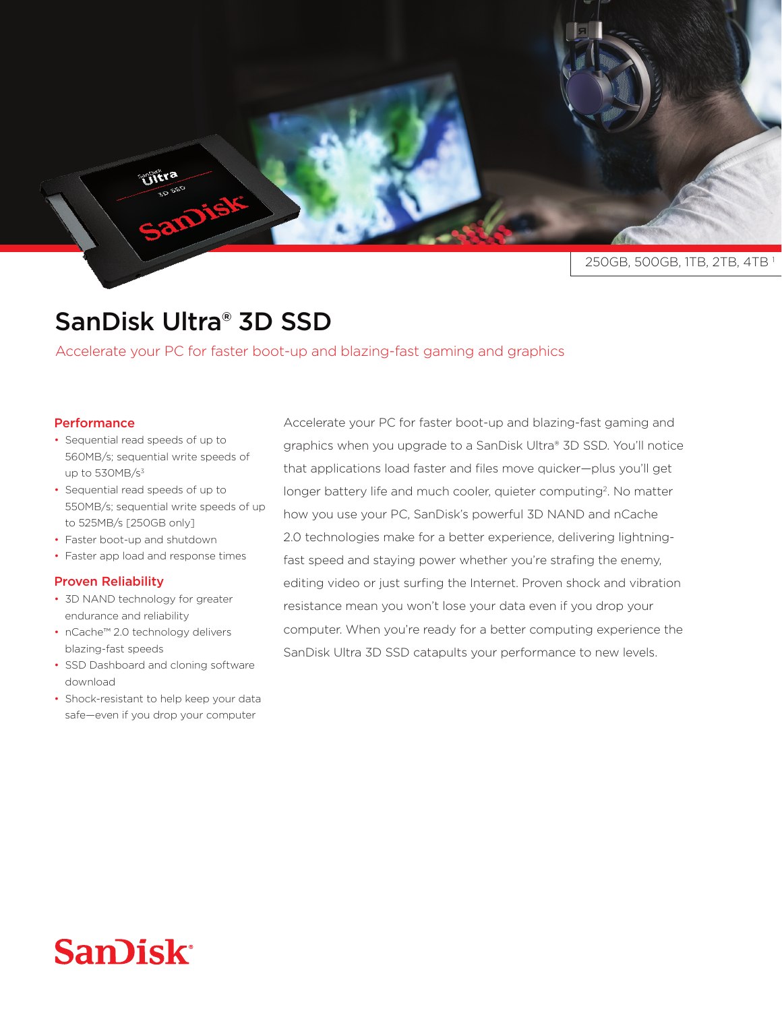250GB, 500GB, 1TB, 2TB, 4TB

## SanDisk Ultra<sup>®</sup> 3D SSD

Accelerate your PC for faster boot-up and blazing-fast gaming and graphics

## **Performance**

• Sequential read speeds of up to 560MB/s; sequential write speeds of up to  $530MB/s^3$ 

Sophira

- Sequential read speeds of up to 550MB/s; sequential write speeds of up to 525MB/s [250GB only]
- Faster boot-up and shutdown
- Faster app load and response times

## **Proven Reliability**

- 3D NAND technology for greater endurance and reliability
- nCache<sup>™</sup> 2.0 technology delivers blazing-fast speeds
- SSD Dashboard and cloning software download
- Shock-resistant to help keep your data safe-even if you drop your computer

Accelerate your PC for faster boot-up and blazing-fast gaming and graphics when you upgrade to a SanDisk Ultra® 3D SSD. You'll notice that applications load faster and files move quicker-plus you'll get longer battery life and much cooler, quieter computing<sup>2</sup>. No matter how you use your PC, SanDisk's powerful 3D NAND and nCache fast speed and staying power whether you're strafing the enemy, 2.0 technologies make for a better experience, delivering lightningediting video or just surfing the Internet. Proven shock and vibration resistance mean you won't lose your data even if you drop your computer. When you're ready for a better computing experience the SanDisk Ultra 3D SSD catapults your performance to new levels.

## **San)isk**<sup>®</sup>